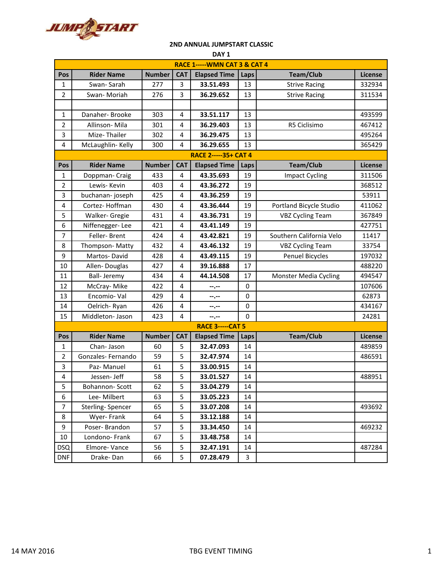

| DAY <sub>1</sub>                         |                    |               |            |                     |             |                              |                |  |  |
|------------------------------------------|--------------------|---------------|------------|---------------------|-------------|------------------------------|----------------|--|--|
| <b>RACE 1----- WMN CAT 3 &amp; CAT 4</b> |                    |               |            |                     |             |                              |                |  |  |
| Pos                                      | <b>Rider Name</b>  | <b>Number</b> | <b>CAT</b> | <b>Elapsed Time</b> | Laps        | <b>Team/Club</b>             | <b>License</b> |  |  |
| 1                                        | Swan-Sarah         | 277           | 3          | 33.51.493           | 13          | <b>Strive Racing</b>         | 332934         |  |  |
| $\overline{2}$                           | Swan-Moriah        | 276           | 3          | 36.29.652           | 13          | <b>Strive Racing</b>         | 311534         |  |  |
|                                          |                    |               |            |                     |             |                              |                |  |  |
| 1                                        | Danaher-Brooke     | 303           | 4          | 33.51.117           | 13          |                              | 493599         |  |  |
| $\overline{2}$                           | Allinson-Mila      | 301           | 4          | 36.29.403           | 13          | R5 Ciclisimo                 | 467412         |  |  |
| 3                                        | Mize-Thailer       | 302           | 4          | 36.29.475           | 13          |                              | 495264         |  |  |
| 4                                        | McLaughlin-Kelly   | 300           | 4          | 36.29.655           | 13          |                              | 365429         |  |  |
| <b>RACE 2-----35+ CAT 4</b>              |                    |               |            |                     |             |                              |                |  |  |
| Pos                                      | <b>Rider Name</b>  | <b>Number</b> | <b>CAT</b> | <b>Elapsed Time</b> | Laps        | <b>Team/Club</b>             | <b>License</b> |  |  |
| 1                                        | Doppman- Craig     | 433           | 4          | 43.35.693           | 19          | <b>Impact Cycling</b>        | 311506         |  |  |
| $\overline{2}$                           | Lewis-Kevin        | 403           | 4          | 43.36.272           | 19          |                              | 368512         |  |  |
| 3                                        | buchanan-joseph    | 425           | 4          | 43.36.259           | 19          |                              | 53911          |  |  |
| 4                                        | Cortez-Hoffman     | 430           | 4          | 43.36.444           | 19          | Portland Bicycle Studio      | 411062         |  |  |
| 5                                        | Walker- Gregie     | 431           | 4          | 43.36.731           | 19          | <b>VBZ Cycling Team</b>      | 367849         |  |  |
| 6                                        | Niffenegger-Lee    | 421           | 4          | 43.41.149           | 19          |                              | 427751         |  |  |
| 7                                        | Feller-Brent       | 424           | 4          | 43.42.821           | 19          | Southern California Velo     | 11417          |  |  |
| 8                                        | Thompson-Matty     | 432           | 4          | 43.46.132           | 19          | <b>VBZ Cycling Team</b>      | 33754          |  |  |
| 9                                        | Martos-David       | 428           | 4          | 43.49.115           | 19          | <b>Penuel Bicycles</b>       | 197032         |  |  |
| 10                                       | Allen-Douglas      | 427           | 4          | 39.16.888           | 17          |                              | 488220         |  |  |
| 11                                       | <b>Ball-Jeremy</b> | 434           | 4          | 44.14.508           | 17          | <b>Monster Media Cycling</b> | 494547         |  |  |
| 12                                       | McCray-Mike        | 422           | 4          | --.--               | $\mathbf 0$ |                              | 107606         |  |  |
| 13                                       | Encomio-Val        | 429           | 4          | --.--               | $\mathbf 0$ |                              | 62873          |  |  |
| 14                                       | Oelrich-Ryan       | 426           | 4          | --.--               | $\mathbf 0$ |                              | 434167         |  |  |
| 15                                       | Middleton- Jason   | 423           | 4          | --.--               | $\mathbf 0$ |                              | 24281          |  |  |
| <b>RACE 3-----CAT 5</b>                  |                    |               |            |                     |             |                              |                |  |  |
| Pos                                      | <b>Rider Name</b>  | <b>Number</b> | <b>CAT</b> | <b>Elapsed Time</b> | Laps        | <b>Team/Club</b>             | <b>License</b> |  |  |
| 1                                        | Chan-Jason         | 60            | 5          | 32.47.093           | 14          |                              | 489859         |  |  |
| $\overline{2}$                           | Gonzales-Fernando  | 59            | 5          | 32.47.974           | 14          |                              | 486591         |  |  |
| 3                                        | Paz-Manuel         | 61            | 5          | 33.00.915           | 14          |                              |                |  |  |
| 4                                        | Jessen- Jeff       | 58            | 5          | 33.01.527           | 14          |                              | 488951         |  |  |
| 5                                        | Bohannon-Scott     | 62            | 5          | 33.04.279           | 14          |                              |                |  |  |
| 6                                        | Lee-Milbert        | 63            | 5          | 33.05.223           | 14          |                              |                |  |  |
| $\overline{7}$                           | Sterling-Spencer   | 65            | 5          | 33.07.208           | 14          |                              | 493692         |  |  |
| 8                                        | Wyer-Frank         | 64            | 5          | 33.12.188           | 14          |                              |                |  |  |
| 9                                        | Poser-Brandon      | 57            | 5          | 33.34.450           | 14          |                              | 469232         |  |  |
| 10                                       | Londono-Frank      | 67            | 5          | 33.48.758           | 14          |                              |                |  |  |
| <b>DSQ</b>                               | Elmore-Vance       | 56            | 5          | 32.47.191           | 14          |                              | 487284         |  |  |
| <b>DNF</b>                               | Drake-Dan          | 66            | 5          | 07.28.479           | 3           |                              |                |  |  |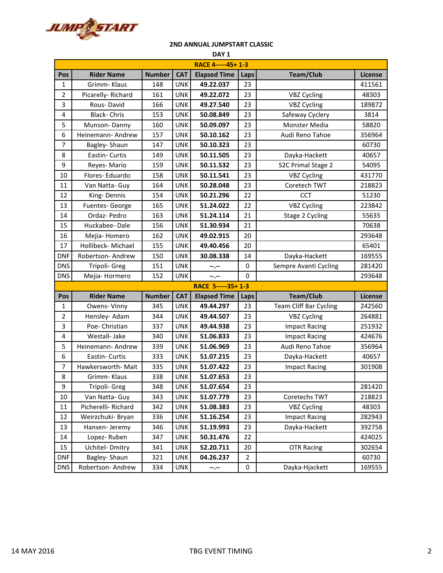

|                |                    |               |            | TU ANNOAL JUNIFULANT CLASSIC<br>DAY <sub>1</sub> |             |                               |         |
|----------------|--------------------|---------------|------------|--------------------------------------------------|-------------|-------------------------------|---------|
|                |                    |               |            | RACE 4-----45+1-3                                |             |                               |         |
| Pos            | <b>Rider Name</b>  | <b>Number</b> | <b>CAT</b> | <b>Elapsed Time</b>                              | Laps        | <b>Team/Club</b>              | License |
| $\mathbf{1}$   | Grimm- Klaus       | 148           | <b>UNK</b> | 49.22.037                                        | 23          |                               | 411561  |
| $\overline{2}$ | Picarelly-Richard  | 161           | <b>UNK</b> | 49.22.072                                        | 23          | <b>VBZ Cycling</b>            | 48303   |
| 3              | Rous-David         | 166           | <b>UNK</b> | 49.27.540                                        | 23          | <b>VBZ Cycling</b>            | 189872  |
| 4              | <b>Black-Chris</b> | 153           | <b>UNK</b> | 50.08.849                                        | 23          | Safeway Cyclery               | 3814    |
| 5              | Munson-Danny       | 160           | <b>UNK</b> | 50.09.097                                        | 23          | Monster Media                 | 58820   |
| 6              | Heinemann-Andrew   | 157           | <b>UNK</b> | 50.10.162                                        | 23          | Audi Reno Tahoe               | 356964  |
| $\overline{7}$ | Bagley-Shaun       | 147           | <b>UNK</b> | 50.10.323                                        | 23          |                               | 60730   |
| 8              | Eastin- Curtis     | 149           | <b>UNK</b> | 50.11.505                                        | 23          | Dayka-Hackett                 | 40657   |
| 9              | Reyes-Mario        | 159           | <b>UNK</b> | 50.11.532                                        | 23          | S2C Primal Stage 2            | 54095   |
| 10             | Flores-Eduardo     | 158           | <b>UNK</b> | 50.11.541                                        | 23          | <b>VBZ Cycling</b>            | 431770  |
| 11             | Van Natta- Guy     | 164           | UNK        | 50.28.048                                        | 23          | Coretech TWT                  | 218823  |
| 12             | King-Dennis        | 154           | <b>UNK</b> | 50.21.296                                        | 22          | <b>CCT</b>                    | 51230   |
| 13             | Fuentes-George     | 165           | <b>UNK</b> | 51.24.022                                        | 22          | <b>VBZ Cycling</b>            | 223842  |
| 14             | Ordaz- Pedro       | 163           | <b>UNK</b> | 51.24.114                                        | 21          | Stage 2 Cycling               | 55635   |
| 15             | Huckabee-Dale      | 156           | <b>UNK</b> | 51.30.934                                        | 21          |                               | 70638   |
| 16             | Mejia-Homero       | 162           | <b>UNK</b> | 49.02.915                                        | 20          |                               | 293648  |
| 17             | Hollibeck- Michael | 155           | <b>UNK</b> | 49.40.456                                        | 20          |                               | 65401   |
| DNF            | Robertson-Andrew   | 150           | <b>UNK</b> | 30.08.338                                        | 14          | Dayka-Hackett                 | 169555  |
| <b>DNS</b>     | Tripoli- Greg      | 151           | <b>UNK</b> | --.--                                            | 0           | Sempre Avanti Cycling         | 281420  |
| <b>DNS</b>     | Mejia-Hormero      | 152           | <b>UNK</b> | $-1 - 1 - 1 = 0$                                 | $\mathbf 0$ |                               | 293648  |
|                |                    |               |            | RACE 5-----35+1-3                                |             |                               |         |
| Pos            | <b>Rider Name</b>  | <b>Number</b> | <b>CAT</b> | <b>Elapsed Time</b>                              | Laps        | Team/Club                     | License |
| 1              | Owens-Vinny        | 345           | <b>UNK</b> | 49.44.297                                        | 23          | <b>Team Cliff Bar Cycling</b> | 242560  |
| $\overline{2}$ | Hensley-Adam       | 344           | <b>UNK</b> | 49.44.507                                        | 23          | <b>VBZ Cycling</b>            | 264881  |
| 3              | Poe- Christian     | 337           | <b>UNK</b> | 49.44.938                                        | 23          | <b>Impact Racing</b>          | 251932  |
| 4              | Westall-Jake       | 340           | <b>UNK</b> | 51.06.833                                        | 23          | <b>Impact Racing</b>          | 424676  |
| 5              | Heinemann- Andrew  | 339           | <b>UNK</b> | 51.06.969                                        | 23          | Audi Reno Tahoe               | 356964  |
| 6              | Eastin- Curtis     | 333           | <b>UNK</b> | 51.07.215                                        | 23          | Dayka-Hackett                 | 40657   |
| 7              | Hawkersworth-Mait  | 335           | <b>UNK</b> | 51.07.422                                        | 23          | <b>Impact Racing</b>          | 301908  |
| 8              | Grimm- Klaus       | 338           | <b>UNK</b> | 51.07.653                                        | 23          |                               |         |

9 Tripoli- Greg 348 UNK 51.07.654 23 10 | Van Natta- Guy | 343 | UNK | 51.07.779 | 23 | Coretechs TWT | 218823 11 Picherelli- Richard 342 UNK **51.08.383** 23 VBZ Cycling 48303 12 | Weirzchuki- Bryan | 336 | UNK | 51.16.254 | 23 | Impact Racing | 282943 13 | Hansen- Jeremy | 346 | UNK | 51.19.993 | 23 | Dayka-Hackett | 392758 14 Lopez- Ruben 347 UNK **50.31.476** 22 **120 120 121 1224025** 15 | Uchitel- Dmitry | 341 | UNK | 52.20.711 | 20 | OTR Racing | 302654 DNF Bagley- Shaun 321 UNK 04.26.237 2 DNS Robertson- Andrew | 334 | UNK | ---- | 0 | Dayka-Hjackett | 169555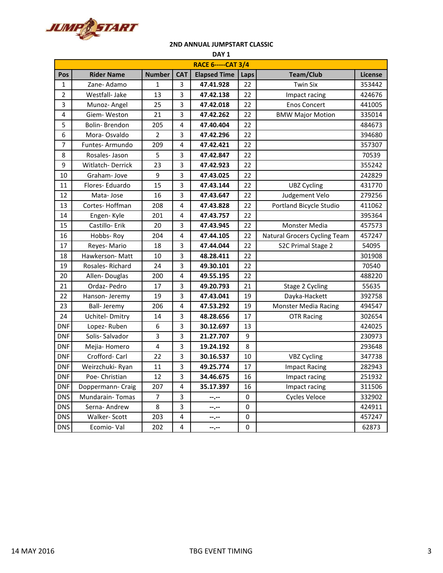

| DAY <sub>1</sub>          |                         |                |            |                     |      |                              |                |  |
|---------------------------|-------------------------|----------------|------------|---------------------|------|------------------------------|----------------|--|
| <b>RACE 6-----CAT 3/4</b> |                         |                |            |                     |      |                              |                |  |
| Pos                       | <b>Rider Name</b>       | <b>Number</b>  | <b>CAT</b> | <b>Elapsed Time</b> | Laps | <b>Team/Club</b>             | <b>License</b> |  |
| $\mathbf{1}$              | Zane-Adamo              | $\mathbf{1}$   | 3          | 47.41.928           | 22   | <b>Twin Six</b>              | 353442         |  |
| $\overline{2}$            | Westfall- Jake          | 13             | 3          | 47.42.138           | 22   | Impact racing                | 424676         |  |
| 3                         | Munoz-Angel             | 25             | 3          | 47.42.018           | 22   | <b>Enos Concert</b>          | 441005         |  |
| 4                         | Giem-Weston             | 21             | 3          | 47.42.262           | 22   | <b>BMW Major Motion</b>      | 335014         |  |
| 5                         | Bolin-Brendon           | 205            | 4          | 47.40.404           | 22   |                              | 484673         |  |
| 6                         | Mora-Osvaldo            | $\overline{2}$ | 3          | 47.42.296           | 22   |                              | 394680         |  |
| $\overline{7}$            | Funtes-Armundo          | 209            | 4          | 47.42.421           | 22   |                              | 357307         |  |
| 8                         | Rosales-Jason           | 5              | 3          | 47.42.847           | 22   |                              | 70539          |  |
| 9                         | <b>Witlatch-Derrick</b> | 23             | 3          | 47.42.923           | 22   |                              | 355242         |  |
| 10                        | Graham-Jove             | 9              | 3          | 47.43.025           | 22   |                              | 242829         |  |
| 11                        | Flores-Eduardo          | 15             | 3          | 47.43.144           | 22   | <b>UBZ Cycling</b>           | 431770         |  |
| 12                        | Mata-Jose               | 16             | 3          | 47.43.647           | 22   | Judgement Velo               | 279256         |  |
| 13                        | Cortes-Hoffman          | 208            | 4          | 47.43.828           | 22   | Portland Bicycle Studio      | 411062         |  |
| 14                        | Engen-Kyle              | 201            | 4          | 47.43.757           | 22   |                              | 395364         |  |
| 15                        | Castillo-Erik           | 20             | 3          | 47.43.945           | 22   | <b>Monster Media</b>         | 457573         |  |
| 16                        | Hobbs-Roy               | 204            | 4          | 47.44.105           | 22   | Natural Grocers Cycling Team | 457247         |  |
| 17                        | Reyes-Mario             | 18             | 3          | 47.44.044           | 22   | S2C Primal Stage 2           | 54095          |  |
| 18                        | Hawkerson- Matt         | 10             | 3          | 48.28.411           | 22   |                              | 301908         |  |
| 19                        | Rosales-Richard         | 24             | 3          | 49.30.101           | 22   |                              | 70540          |  |
| 20                        | Allen-Douglas           | 200            | 4          | 49.55.195           | 22   |                              | 488220         |  |
| 21                        | Ordaz-Pedro             | 17             | 3          | 49.20.793           | 21   | Stage 2 Cycling              | 55635          |  |
| 22                        | Hanson-Jeremy           | 19             | 3          | 47.43.041           | 19   | Dayka-Hackett                | 392758         |  |
| 23                        | <b>Ball-Jeremy</b>      | 206            | 4          | 47.53.292           | 19   | <b>Monster Media Racing</b>  | 494547         |  |
| 24                        | Uchitel-Dmitry          | 14             | 3          | 48.28.656           | 17   | <b>OTR Racing</b>            | 302654         |  |
| <b>DNF</b>                | Lopez-Ruben             | 6              | 3          | 30.12.697           | 13   |                              | 424025         |  |
| <b>DNF</b>                | Solis-Salvador          | 3              | 3          | 21.27.707           | 9    |                              | 230973         |  |
| <b>DNF</b>                | Mejia-Homero            | 4              | 3          | 19.24.192           | 8    |                              | 293648         |  |
| <b>DNF</b>                | Crofford-Carl           | 22             | 3          | 30.16.537           | 10   | <b>VBZ Cycling</b>           | 347738         |  |
| <b>DNF</b>                | Weirzchuki- Ryan        | 11             | 3          | 49.25.774           | 17   | <b>Impact Racing</b>         | 282943         |  |
| <b>DNF</b>                | Poe- Christian          | 12             | 3          | 34.46.675           | 16   | Impact racing                | 251932         |  |
| <b>DNF</b>                | Doppermann- Craig       | 207            | 4          | 35.17.397           | 16   | Impact racing                | 311506         |  |
| <b>DNS</b>                | Mundarain-Tomas         | $\overline{7}$ | 3          | --.--               | 0    | Cycles Veloce                | 332902         |  |
| <b>DNS</b>                | Serna- Andrew           | 8              | 3          | --.--               | 0    |                              | 424911         |  |
| <b>DNS</b>                | Walker-Scott            | 203            | 4          | --.--               | 0    |                              | 457247         |  |
| <b>DNS</b>                | Ecomio-Val              | 202            | 4          | --.--               | 0    |                              | 62873          |  |